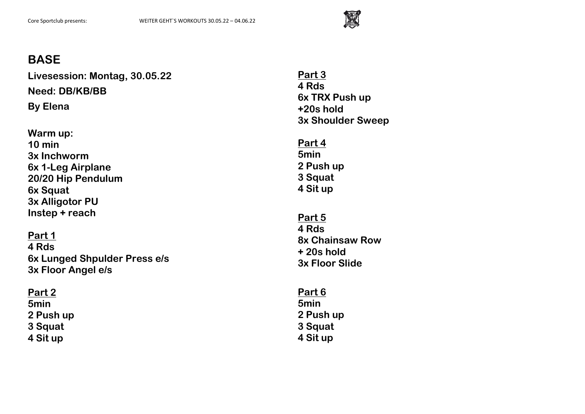

**Livesession: Montag, 30.05.22 Need: DB/KB/BB By Elena**

**Warm up: 10 min 3x Inchworm 6x 1-Leg Airplane 20/20 Hip Pendulum 6x Squat 3x Alligotor PU Instep + reach**

**Part 1 4 Rds 6x Lunged Shpulder Press e/s 3x Floor Angel e/s**

## **Part 2 5min 2 Push up 3 Squat 4 Sit up**

**Part 3 4 Rds 6x TRX Push up +20s hold 3x Shoulder Sweep**

**Part 4 5min 2 Push up 3 Squat 4 Sit up**

**Part 5 4 Rds 8x Chainsaw Row + 20s hold 3x Floor Slide**

**Part 6 5min 2 Push up 3 Squat 4 Sit up**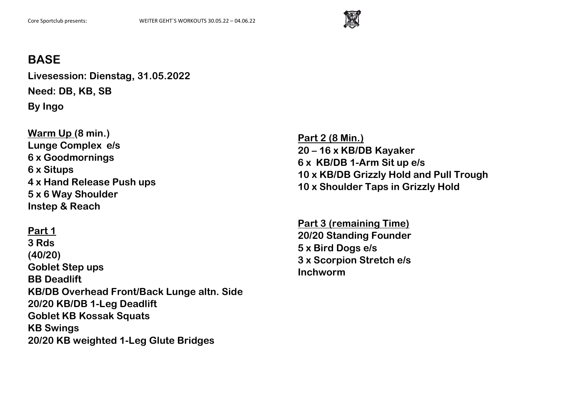

**Livesession: Dienstag, 31.05.2022 Need: DB, KB, SB By Ingo**

**Warm Up (8 min.) Lunge Complex e/s 6 x Goodmornings 6 x Situps 4 x Hand Release Push ups 5 x 6 Way Shoulder Instep & Reach**

## **Part 1**

**3 Rds (40/20) Goblet Step ups BB Deadlift KB/DB Overhead Front/Back Lunge altn. Side 20/20 KB/DB 1-Leg Deadlift Goblet KB Kossak Squats KB Swings 20/20 KB weighted 1-Leg Glute Bridges**

**Part 2 (8 Min.) 20 – 16 x KB/DB Kayaker 6 x KB/DB 1-Arm Sit up e/s 10 x KB/DB Grizzly Hold and Pull Trough 10 x Shoulder Taps in Grizzly Hold**

**Part 3 (remaining Time) 20/20 Standing Founder 5 x Bird Dogs e/s 3 x Scorpion Stretch e/s Inchworm**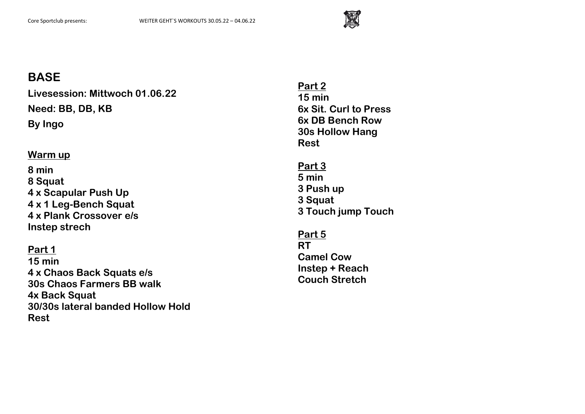

**Livesession: Mittwoch 01.06.22 Need: BB, DB, KB By Ingo**

### **Warm up**

**8 min 8 Squat 4 x Scapular Push Up 4 x 1 Leg-Bench Squat 4 x Plank Crossover e/s Instep strech**

#### **Part 1**

**15 min 4 x Chaos Back Squats e/s 30s Chaos Farmers BB walk 4x Back Squat 30/30s lateral banded Hollow Hold Rest**

**Part 2 15 min 6x Sit. Curl to Press 6x DB Bench Row 30s Hollow Hang Rest**

**Part 3 5 min 3 Push up 3 Squat 3 Touch jump Touch**

**Part 5 RT Camel Cow Instep + Reach Couch Stretch**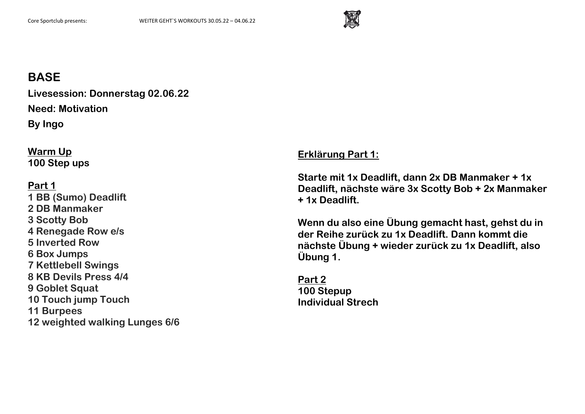

**Livesession: Donnerstag 02.06.22 Need: Motivation By Ingo**

**Warm Up 100 Step ups**

**Part 1 1 BB (Sumo) Deadlift 2 DB Manmaker 3 Scotty Bob 4 Renegade Row e/s 5 Inverted Row 6 Box Jumps 7 Kettlebell Swings 8 KB Devils Press 4/4 9 Goblet Squat 10 Touch jump Touch 11 Burpees 12 weighted walking Lunges 6/6** **Erklärung Part 1:**

**Starte mit 1x Deadlift, dann 2x DB Manmaker + 1x Deadlift, nächste wäre 3x Scotty Bob + 2x Manmaker + 1x Deadlift.** 

**Wenn du also eine Übung gemacht hast, gehst du in der Reihe zurück zu 1x Deadlift. Dann kommt die nächste Übung + wieder zurück zu 1x Deadlift, also Übung 1.**

**Part 2 100 Stepup Individual Strech**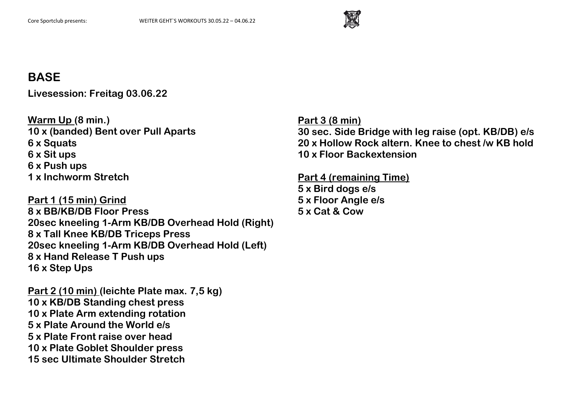

**Livesession: Freitag 03.06.22**

**Warm Up (8 min.) 10 x (banded) Bent over Pull Aparts 6 x Squats 6 x Sit ups 6 x Push ups 1 x Inchworm Stretch**

**Part 1 (15 min) Grind 8 x BB/KB/DB Floor Press 20sec kneeling 1-Arm KB/DB Overhead Hold (Right) 8 x Tall Knee KB/DB Triceps Press 20sec kneeling 1-Arm KB/DB Overhead Hold (Left) 8 x Hand Release T Push ups 16 x Step Ups**

**Part 2 (10 min) (leichte Plate max. 7,5 kg) 10 x KB/DB Standing chest press 10 x Plate Arm extending rotation 5 x Plate Around the World e/s 5 x Plate Front raise over head 10 x Plate Goblet Shoulder press 15 sec Ultimate Shoulder Stretch**

**Part 3 (8 min) 30 sec. Side Bridge with leg raise (opt. KB/DB) e/s 20 x Hollow Rock altern. Knee to chest /w KB hold 10 x Floor Backextension**

**Part 4 (remaining Time)**

**5 x Bird dogs e/s 5 x Floor Angle e/s 5 x Cat & Cow**